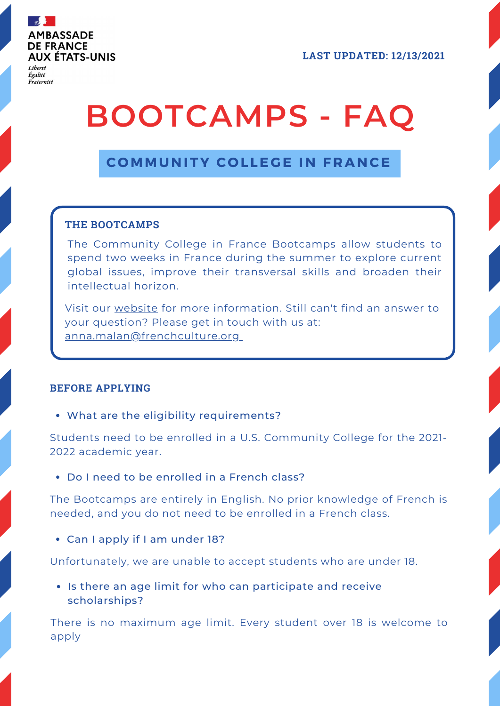

Égalité Fraternité **LAST UPDATED: 12/13/2021**

# **BOOTCAMPS - FAQ**

# **C OMMUNITY C O L LE G E IN F RANCE**

# **THE BOOTCAMPS**

The Community College in France Bootcamps allow students to spend two weeks in France during the summer to explore current global issues, improve their transversal skills and broaden their intellectual horizon.

Visit our [website](https://frenchhighereducation.org/grants-and-programs/5896-community-college-france/bootcamps) for more information. Still can't find an answer to your question? Please get in touch with us at: [anna.malan@frenchculture.org](mailto:anna.malan@frenchculture.org)

# **BEFORE APPLYING**

What are the eligibility requirements?

Students need to be enrolled in a U.S. Community College for the 2021- 2022 academic year.

Do I need to be enrolled in a French class?

The Bootcamps are entirely in English. No prior knowledge of French is needed, and you do not need to be enrolled in a French class.

Can I apply if I am under 18?

Unfortunately, we are unable to accept students who are under 18.

• Is there an age limit for who can participate and receive scholarships?

There is no maximum age limit. Every student over 18 is welcome to apply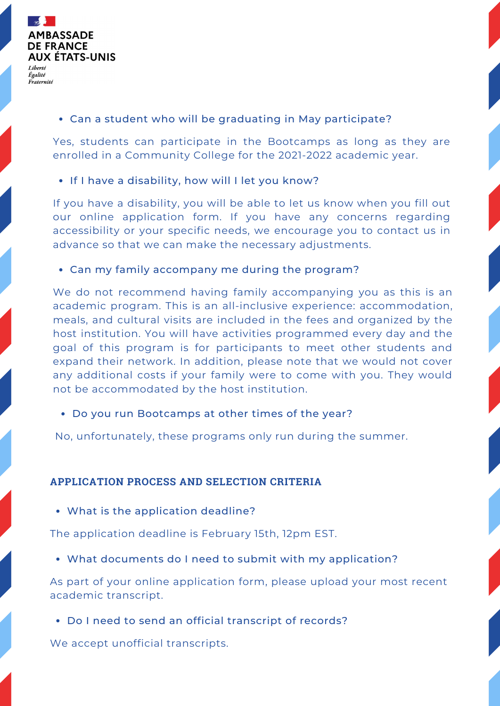

# Can a student who will be graduating in May participate?

Yes, students can participate in the Bootcamps as long as they are enrolled in a Community College for the 2021-2022 academic year.

#### • If I have a disability, how will I let you know?

If you have a disability, you will be able to let us know when you fill out our online application form. If you have any concerns regarding accessibility or your specific needs, we encourage you to contact us in advance so that we can make the necessary adjustments.

#### Can my family accompany me during the program?

We do not recommend having family accompanying you as this is an academic program. This is an all-inclusive experience: accommodation, meals, and cultural visits are included in the fees and organized by the host institution. You will have activities programmed every day and the goal of this program is for participants to meet other students and expand their network. In addition, please note that we would not cover any additional costs if your family were to come with you. They would not be accommodated by the host institution.

#### Do you run Bootcamps at other times of the year?

No, unfortunately, these programs only run during the summer.

# **APPLICATION PROCESS AND SELECTION CRITERIA**

What is the application deadline?

The application deadline is February 15th, 12pm EST.

What documents do I need to submit with my application?

As part of your online application form, please upload your most recent academic transcript.

Do I need to send an official transcript of records?

We accept unofficial transcripts.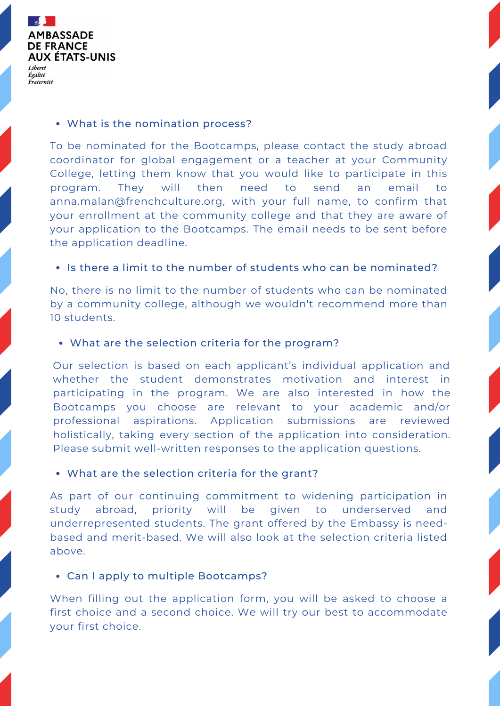

#### What is the nomination process?

To be nominated for the Bootcamps, please contact the study abroad coordinator for global engagement or a teacher at your Community College, letting them know that you would like to participate in this program. They will then need to send an email to [anna.malan@frenchculture.org](mailto:anna.malan@frenchculture.org), with your full name, to confirm that your enrollment at the community college and that they are aware of your application to the Bootcamps. The email needs to be sent before the application deadline.

# • Is there a limit to the number of students who can be nominated?

No, there is no limit to the number of students who can be nominated by a community college, although we wouldn't recommend more than 10 students.

# What are the selection criteria for the program?

Our selection is based on each applicant's individual application and whether the student demonstrates motivation and interest in participating in the program. We are also interested in how the Bootcamps you choose are relevant to your academic and/or professional aspirations. Application submissions are reviewed holistically, taking every section of the application into consideration. Please submit well-written responses to the application questions.

#### What are the selection criteria for the grant?

As part of our continuing commitment to widening participation in study abroad, priority will be given to underserved and underrepresented students. The grant offered by the Embassy is needbased and merit-based. We will also look at the selection criteria listed above.

# Can I apply to multiple Bootcamps?

When filling out the application form, you will be asked to choose a first choice and a second choice. We will try our best to accommodate your first choice.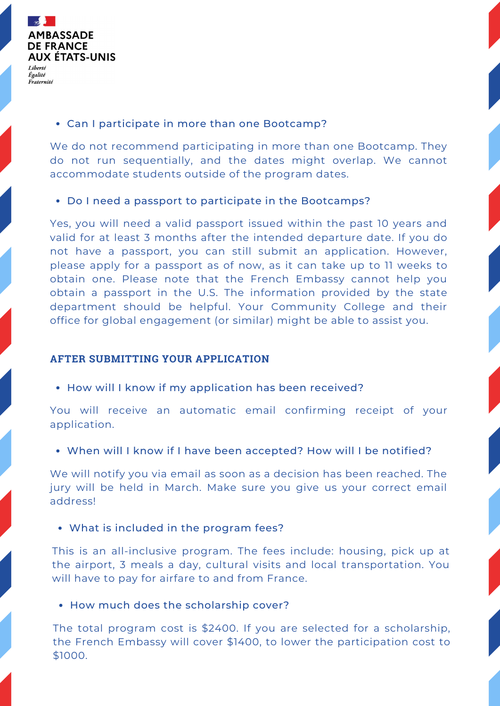

#### Can I participate in more than one Bootcamp?

We do not recommend participating in more than one Bootcamp. They do not run sequentially, and the dates might overlap. We cannot accommodate students outside of the program dates.

#### Do I need a passport to participate in the Bootcamps?

Yes, you will need a valid passport issued within the past 10 years and valid for at least 3 months after the intended departure date. If you do not have a passport, you can still submit an application. However, please apply for a passport as of now, as it can take up to 11 weeks to obtain one. Please note that the French Embassy cannot help you obtain a passport in the U.S. The [information](https://travel.state.gov/content/travel/en/passports/how-apply.html) provided by the state department should be helpful. Your Community College and their office for global engagement (or similar) might be able to assist you.

#### **AFTER SUBMITTING YOUR APPLICATION**

• How will I know if my application has been received?

You will receive an automatic email confirming receipt of your application.

When will I know if I have been accepted? How will I be notified?

We will notify you via email as soon as a decision has been reached. The jury will be held in March. Make sure you give us your correct email address!

What is included in the program fees?

This is an all-inclusive program. The fees include: housing, pick up at the airport, 3 meals a day, cultural visits and local transportation. You will have to pay for airfare to and from France.

• How much does the scholarship cover?

The total program cost is \$2400. If you are selected for a scholarship, the French Embassy will cover \$1400, to lower the participation cost to \$1000.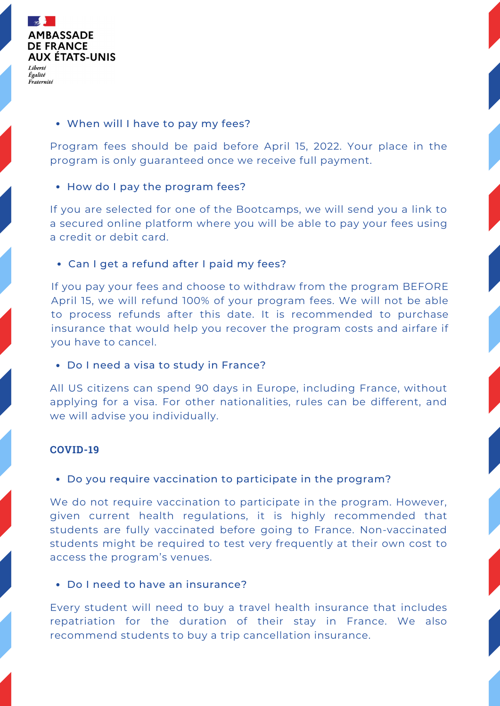

#### When will I have to pay my fees?

Program fees should be paid before April 15, 2022. Your place in the program is only guaranteed once we receive full payment.

#### • How do I pay the program fees?

If you are selected for one of the Bootcamps, we will send you a link to a secured online platform where you will be able to pay your fees using a credit or debit card.

#### Can I get a refund after I paid my fees?

If you pay your fees and choose to withdraw from the program BEFORE April 15, we will refund 100% of your program fees. We will not be able to process refunds after this date. It is recommended to purchase insurance that would help you recover the program costs and airfare if you have to cancel.

#### Do I need a visa to study in France?

All US citizens can spend 90 days in Europe, including France, without applying for a visa. For other nationalities, rules can be different, and we will advise you individually.

# **COVID-19**

#### Do you require vaccination to participate in the program?

We do not require vaccination to participate in the program. However, given current health regulations, it is highly recommended that students are fully vaccinated before going to France. Non-vaccinated students might be required to test very frequently at their own cost to access the program's venues.

#### Do I need to have an insurance?

Every student will need to buy a travel health insurance that includes repatriation for the duration of their stay in France. We also recommend students to buy a trip cancellation insurance.